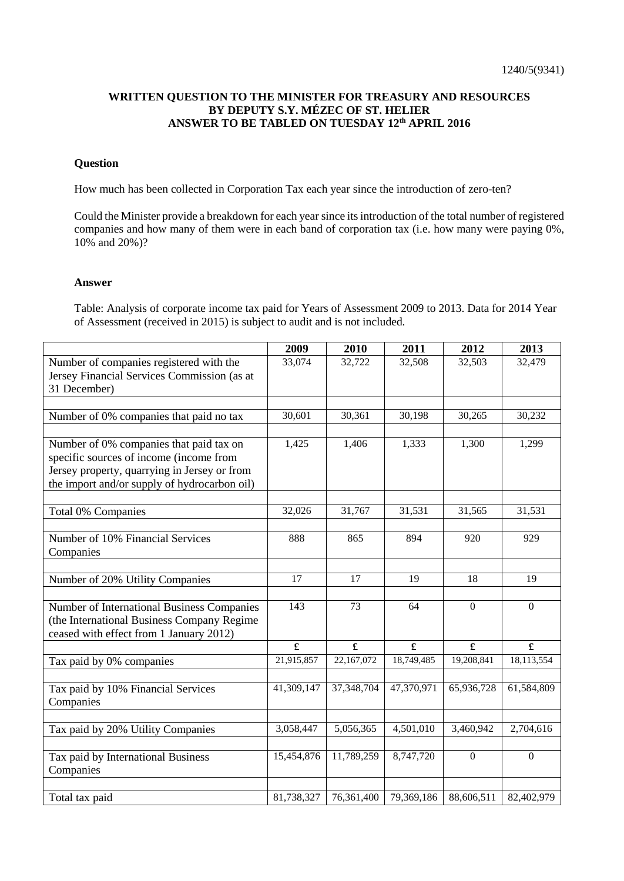## **WRITTEN QUESTION TO THE MINISTER FOR TREASURY AND RESOURCES BY DEPUTY S.Y. MÉZEC OF ST. HELIER ANSWER TO BE TABLED ON TUESDAY 12th APRIL 2016**

## **Question**

How much has been collected in Corporation Tax each year since the introduction of zero-ten?

Could the Minister provide a breakdown for each year since its introduction of the total number of registered companies and how many of them were in each band of corporation tax (i.e. how many were paying 0%, 10% and 20%)?

## **Answer**

Table: Analysis of corporate income tax paid for Years of Assessment 2009 to 2013. Data for 2014 Year of Assessment (received in 2015) is subject to audit and is not included.

|                                                                                                        | 2009                                  | 2010                                  | 2011                                 | 2012                                    | 2013                                    |
|--------------------------------------------------------------------------------------------------------|---------------------------------------|---------------------------------------|--------------------------------------|-----------------------------------------|-----------------------------------------|
| Number of companies registered with the                                                                | 33,074                                | 32,722                                | 32,508                               | 32,503                                  | 32,479                                  |
| Jersey Financial Services Commission (as at                                                            |                                       |                                       |                                      |                                         |                                         |
| 31 December)                                                                                           |                                       |                                       |                                      |                                         |                                         |
|                                                                                                        |                                       |                                       |                                      |                                         |                                         |
| Number of 0% companies that paid no tax                                                                | 30,601                                | 30,361                                | 30,198                               | 30,265                                  | 30,232                                  |
|                                                                                                        |                                       |                                       |                                      |                                         |                                         |
| Number of 0% companies that paid tax on                                                                | 1,425                                 | 1,406                                 | 1,333                                | 1,300                                   | 1,299                                   |
| specific sources of income (income from                                                                |                                       |                                       |                                      |                                         |                                         |
| Jersey property, quarrying in Jersey or from                                                           |                                       |                                       |                                      |                                         |                                         |
| the import and/or supply of hydrocarbon oil)                                                           |                                       |                                       |                                      |                                         |                                         |
| Total 0% Companies                                                                                     | 32,026                                | 31,767                                | 31,531                               | 31,565                                  | 31,531                                  |
|                                                                                                        |                                       |                                       |                                      |                                         |                                         |
| Number of 10% Financial Services                                                                       | 888                                   | 865                                   | 894                                  | 920                                     | 929                                     |
| Companies                                                                                              |                                       |                                       |                                      |                                         |                                         |
|                                                                                                        |                                       |                                       |                                      |                                         |                                         |
| Number of 20% Utility Companies                                                                        | $\overline{17}$                       | $\overline{17}$                       | 19                                   | 18                                      | 19                                      |
|                                                                                                        |                                       |                                       |                                      |                                         |                                         |
| Number of International Business Companies                                                             | 143                                   | 73                                    | 64                                   | $\mathbf{0}$                            | $\boldsymbol{0}$                        |
| (the International Business Company Regime                                                             |                                       |                                       |                                      |                                         |                                         |
| ceased with effect from 1 January 2012)                                                                |                                       |                                       |                                      |                                         |                                         |
|                                                                                                        | £                                     | £                                     | £                                    | £                                       | $\pmb{\mathfrak{L}}$                    |
| Tax paid by 0% companies                                                                               | 21,915,857                            | 22,167,072                            | 18,749,485                           | 19,208,841                              | 18,113,554                              |
|                                                                                                        |                                       |                                       |                                      |                                         |                                         |
| Tax paid by 10% Financial Services                                                                     | 41,309,147                            | 37,348,704                            | 47,370,971                           | 65,936,728                              | 61,584,809                              |
| Companies                                                                                              |                                       |                                       |                                      |                                         |                                         |
|                                                                                                        |                                       |                                       |                                      |                                         |                                         |
|                                                                                                        |                                       |                                       |                                      |                                         |                                         |
|                                                                                                        |                                       |                                       |                                      |                                         |                                         |
|                                                                                                        |                                       |                                       |                                      |                                         |                                         |
|                                                                                                        |                                       |                                       |                                      |                                         |                                         |
|                                                                                                        |                                       |                                       |                                      |                                         |                                         |
| Tax paid by 20% Utility Companies<br>Tax paid by International Business<br>Companies<br>Total tax paid | 3,058,447<br>15,454,876<br>81,738,327 | 5,056,365<br>11,789,259<br>76,361,400 | 4,501,010<br>8,747,720<br>79,369,186 | 3,460,942<br>$\mathbf{0}$<br>88,606,511 | 2,704,616<br>$\mathbf{0}$<br>82,402,979 |